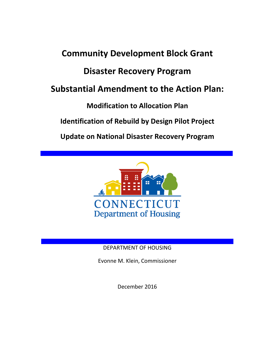# Community Development Block Grant Disaster Recovery Program Substantial Amendment to the Action Plan: Modification to Allocation Plan Identification of Rebuild by Design Pilot Project Update on National Disaster Recovery Program



# DEPARTMENT OF HOUSING

Evonne M. Klein, Commissioner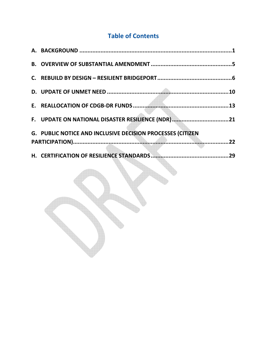# Table of Contents

| F. UPDATE ON NATIONAL DISASTER RESILIENCE (NDR)21          |  |
|------------------------------------------------------------|--|
| G. PUBLIC NOTICE AND INCLUSIVE DECISION PROCESSES (CITIZEN |  |
|                                                            |  |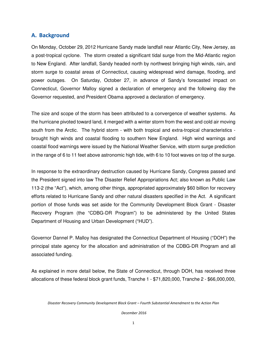#### A. Background

On Monday, October 29, 2012 Hurricane Sandy made landfall near Atlantic City, New Jersey, as a post-tropical cyclone. The storm created a significant tidal surge from the Mid-Atlantic region to New England. After landfall, Sandy headed north by northwest bringing high winds, rain, and storm surge to coastal areas of Connecticut, causing widespread wind damage, flooding, and power outages. On Saturday, October 27, in advance of Sandy's forecasted impact on Connecticut, Governor Malloy signed a declaration of emergency and the following day the Governor requested, and President Obama approved a declaration of emergency.

The size and scope of the storm has been attributed to a convergence of weather systems. As the hurricane pivoted toward land, it merged with a winter storm from the west and cold air moving south from the Arctic. The hybrid storm - with both tropical and extra-tropical characteristics brought high winds and coastal flooding to southern New England. High wind warnings and coastal flood warnings were issued by the National Weather Service, with storm surge prediction in the range of 6 to 11 feet above astronomic high tide, with 6 to 10 foot waves on top of the surge.

In response to the extraordinary destruction caused by Hurricane Sandy, Congress passed and the President signed into law The Disaster Relief Appropriations Act; also known as Public Law 113-2 (the "Act"), which, among other things, appropriated approximately \$60 billion for recovery efforts related to Hurricane Sandy and other natural disasters specified in the Act. A significant portion of those funds was set aside for the Community Development Block Grant - Disaster Recovery Program (the "CDBG-DR Program") to be administered by the United States Department of Housing and Urban Development ("HUD").

Governor Dannel P. Malloy has designated the Connecticut Department of Housing ("DOH") the principal state agency for the allocation and administration of the CDBG-DR Program and all associated funding.

As explained in more detail below, the State of Connecticut, through DOH, has received three allocations of these federal block grant funds, Tranche 1 - \$71,820,000, Tranche 2 - \$66,000,000,

Disaster Recovery Community Development Block Grant – Fourth Substantial Amendment to the Action Plan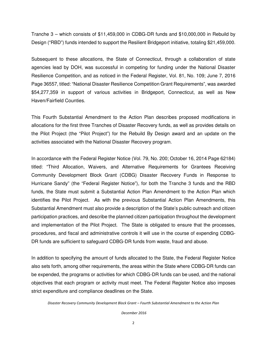Tranche 3 – which consists of \$11,459,000 in CDBG-DR funds and \$10,000,000 in Rebuild by Design ("RBD") funds intended to support the Resilient Bridgeport initiative, totaling \$21,459,000.

Subsequent to these allocations, the State of Connecticut, through a collaboration of state agencies lead by DOH, was successful in competing for funding under the National Disaster Resilience Competition, and as noticed in the Federal Register, Vol. 81, No. 109; June 7, 2016 Page 36557, titled: "National Disaster Resilience Competition Grant Requirements", was awarded \$54,277,359 in support of various activities in Bridgeport, Connecticut, as well as New Haven/Fairfield Counties.

This Fourth Substantial Amendment to the Action Plan describes proposed modifications in allocations for the first three Tranches of Disaster Recovery funds, as well as provides details on the Pilot Project (the "Pilot Project") for the Rebuild By Design award and an update on the activities associated with the National Disaster Recovery program.

In accordance with the Federal Register Notice (Vol. 79, No. 200; October 16, 2014 Page 62184) titled: "Third Allocation, Waivers, and Alternative Requirements for Grantees Receiving Community Development Block Grant (CDBG) Disaster Recovery Funds in Response to Hurricane Sandy" (the "Federal Register Notice"), for both the Tranche 3 funds and the RBD funds, the State must submit a Substantial Action Plan Amendment to the Action Plan which identifies the Pilot Project. As with the previous Substantial Action Plan Amendments, this Substantial Amendment must also provide a description of the State's public outreach and citizen participation practices, and describe the planned citizen participation throughout the development and implementation of the Pilot Project. The State is obligated to ensure that the processes, procedures, and fiscal and administrative controls it will use in the course of expending CDBG-DR funds are sufficient to safeguard CDBG-DR funds from waste, fraud and abuse.

In addition to specifying the amount of funds allocated to the State, the Federal Register Notice also sets forth, among other requirements, the areas within the State where CDBG-DR funds can be expended, the programs or activities for which CDBG-DR funds can be used, and the national objectives that each program or activity must meet. The Federal Register Notice also imposes strict expenditure and compliance deadlines on the State.

Disaster Recovery Community Development Block Grant – Fourth Substantial Amendment to the Action Plan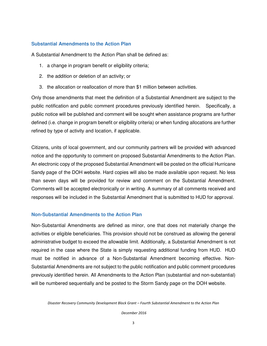#### **Substantial Amendments to the Action Plan**

A Substantial Amendment to the Action Plan shall be defined as:

- 1. a change in program benefit or eligibility criteria;
- 2. the addition or deletion of an activity; or
- 3. the allocation or reallocation of more than \$1 million between activities.

Only those amendments that meet the definition of a Substantial Amendment are subject to the public notification and public comment procedures previously identified herein. Specifically, a public notice will be published and comment will be sought when assistance programs are further defined (i.e. change in program benefit or eligibility criteria) or when funding allocations are further refined by type of activity and location, if applicable.

Citizens, units of local government, and our community partners will be provided with advanced notice and the opportunity to comment on proposed Substantial Amendments to the Action Plan. An electronic copy of the proposed Substantial Amendment will be posted on the official Hurricane Sandy page of the DOH website. Hard copies will also be made available upon request. No less than seven days will be provided for review and comment on the Substantial Amendment. Comments will be accepted electronically or in writing. A summary of all comments received and responses will be included in the Substantial Amendment that is submitted to HUD for approval.

#### **Non-Substantial Amendments to the Action Plan**

Non-Substantial Amendments are defined as minor, one that does not materially change the activities or eligible beneficiaries. This provision should not be construed as allowing the general administrative budget to exceed the allowable limit. Additionally, a Substantial Amendment is not required in the case where the State is simply requesting additional funding from HUD. HUD must be notified in advance of a Non-Substantial Amendment becoming effective. Non-Substantial Amendments are not subject to the public notification and public comment procedures previously identified herein. All Amendments to the Action Plan (substantial and non-substantial) will be numbered sequentially and be posted to the Storm Sandy page on the DOH website.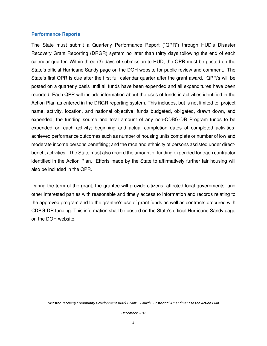#### **Performance Reports**

The State must submit a Quarterly Performance Report ("QPR") through HUD's Disaster Recovery Grant Reporting (DRGR) system no later than thirty days following the end of each calendar quarter. Within three (3) days of submission to HUD, the QPR must be posted on the State's official Hurricane Sandy page on the DOH website for public review and comment. The State's first QPR is due after the first full calendar quarter after the grant award. QPR's will be posted on a quarterly basis until all funds have been expended and all expenditures have been reported. Each QPR will include information about the uses of funds in activities identified in the Action Plan as entered in the DRGR reporting system. This includes, but is not limited to: project name, activity, location, and national objective; funds budgeted, obligated, drawn down, and expended; the funding source and total amount of any non-CDBG-DR Program funds to be expended on each activity; beginning and actual completion dates of completed activities; achieved performance outcomes such as number of housing units complete or number of low and moderate income persons benefiting; and the race and ethnicity of persons assisted under directbenefit activities. The State must also record the amount of funding expended for each contractor identified in the Action Plan. Efforts made by the State to affirmatively further fair housing will also be included in the QPR.

During the term of the grant, the grantee will provide citizens, affected local governments, and other interested parties with reasonable and timely access to information and records relating to the approved program and to the grantee's use of grant funds as well as contracts procured with CDBG-DR funding. This information shall be posted on the State's official Hurricane Sandy page on the DOH website.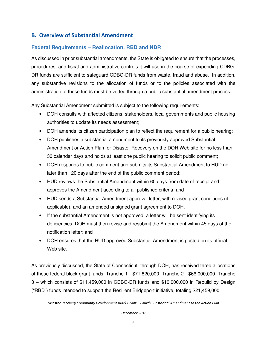# B. Overview of Substantial Amendment

# **Federal Requirements – Reallocation, RBD and NDR**

As discussed in prior substantial amendments, the State is obligated to ensure that the processes, procedures, and fiscal and administrative controls it will use in the course of expending CDBG-DR funds are sufficient to safeguard CDBG-DR funds from waste, fraud and abuse. In addition, any substantive revisions to the allocation of funds or to the policies associated with the administration of these funds must be vetted through a public substantial amendment process.

Any Substantial Amendment submitted is subject to the following requirements:

- DOH consults with affected citizens, stakeholders, local governments and public housing authorities to update its needs assessment;
- DOH amends its citizen participation plan to reflect the requirement for a public hearing;
- DOH publishes a substantial amendment to its previously approved Substantial Amendment or Action Plan for Disaster Recovery on the DOH Web site for no less than 30 calendar days and holds at least one public hearing to solicit public comment;
- DOH responds to public comment and submits its Substantial Amendment to HUD no later than 120 days after the end of the public comment period;
- HUD reviews the Substantial Amendment within 60 days from date of receipt and approves the Amendment according to all published criteria; and
- HUD sends a Substantial Amendment approval letter, with revised grant conditions (if applicable), and an amended unsigned grant agreement to DOH.
- If the substantial Amendment is not approved, a letter will be sent identifying its deficiencies; DOH must then revise and resubmit the Amendment within 45 days of the notification letter; and
- DOH ensures that the HUD approved Substantial Amendment is posted on its official Web site.

As previously discussed, the State of Connecticut, through DOH, has received three allocations of these federal block grant funds, Tranche 1 - \$71,820,000, Tranche 2 - \$66,000,000, Tranche 3 – which consists of \$11,459,000 in CDBG-DR funds and \$10,000,000 in Rebuild by Design ("RBD") funds intended to support the Resilient Bridgeport initiative, totaling \$21,459,000.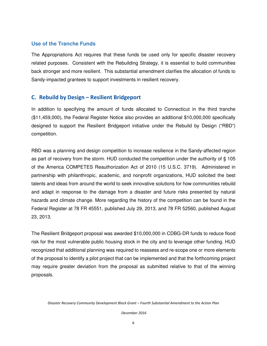#### **Use of the Tranche Funds**

The Appropriations Act requires that these funds be used only for specific disaster recovery related purposes. Consistent with the Rebuilding Strategy, it is essential to build communities back stronger and more resilient. This substantial amendment clarifies the allocation of funds to Sandy-impacted grantees to support investments in resilient recovery.

#### C. Rebuild by Design – Resilient Bridgeport

In addition to specifying the amount of funds allocated to Connecticut in the third tranche (\$11,459,000), the Federal Register Notice also provides an additional \$10,000,000 specifically designed to support the Resilient Bridgeport initiative under the Rebuild by Design ("RBD") competition.

RBD was a planning and design competition to increase resilience in the Sandy-affected region as part of recovery from the storm. HUD conducted the competition under the authority of § 105 of the America COMPETES Reauthorization Act of 2010 (15 U.S.C. 3719). Administered in partnership with philanthropic, academic, and nonprofit organizations, HUD solicited the best talents and ideas from around the world to seek innovative solutions for how communities rebuild and adapt in response to the damage from a disaster and future risks presented by natural hazards and climate change. More regarding the history of the competition can be found in the Federal Register at 78 FR 45551, published July 29, 2013, and 78 FR 52560, published August 23, 2013.

The Resilient Bridgeport proposal was awarded \$10,000,000 in CDBG-DR funds to reduce flood risk for the most vulnerable public housing stock in the city and to leverage other funding. HUD recognized that additional planning was required to reassess and re-scope one or more elements of the proposal to identify a pilot project that can be implemented and that the forthcoming project may require greater deviation from the proposal as submitted relative to that of the winning proposals.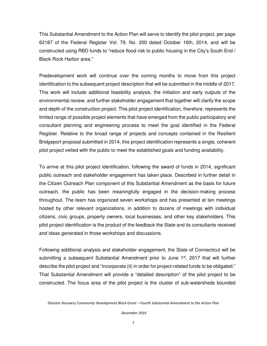This Substantial Amendment to the Action Plan will serve to identify the pilot project, per page 62187 of the Federal Register Vol. 79, No. 200 dated October 16th, 2014, and will be constructed using RBD funds to "reduce flood risk to public housing in the City's South End / Black Rock Harbor area."

Predevelopment work will continue over the coming months to move from this project identification to the subsequent project description that will be submitted in the middle of 2017. This work will include additional feasibility analysis, the initiation and early outputs of the environmental review, and further stakeholder engagement that together will clarify the scope and depth of the construction project. This pilot project identification, therefore, represents the limited range of possible project elements that have emerged from the public participatory and consultant planning and engineering process to meet the goal identified in the Federal Register. Relative to the broad range of projects and concepts contained in the Resilient Bridgeport proposal submitted in 2014, this project identification represents a single, coherent pilot project vetted with the public to meet the established goals and funding availability.

To arrive at this pilot project identification, following the award of funds in 2014, significant public outreach and stakeholder engagement has taken place. Described in further detail in the Citizen Outreach Plan component of this Substantial Amendment as the basis for future outreach, the public has been meaningfully engaged in the decision-making process throughout. The team has organized seven workshops and has presented at ten meetings hosted by other relevant organizations, in addition to dozens of meetings with individual citizens, civic groups, property owners, local businesses, and other key stakeholders. This pilot project identification is the product of the feedback the State and its consultants received and ideas generated in those workshops and discussions.

Following additional analysis and stakeholder engagement, the State of Connecticut will be submitting a subsequent Substantial Amendment prior to June  $1<sup>st</sup>$ , 2017 that will further describe the pilot project and "incorporate (it) in order for project-related funds to be obligated." That Substantial Amendment will provide a "detailed description" of the pilot project to be constructed. The focus area of the pilot project is the cluster of sub-watersheds bounded

Disaster Recovery Community Development Block Grant – Fourth Substantial Amendment to the Action Plan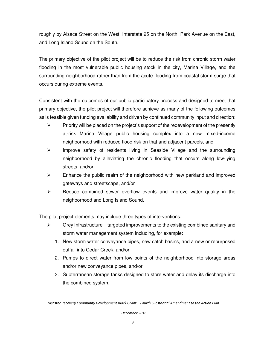roughly by Alsace Street on the West, Interstate 95 on the North, Park Avenue on the East, and Long Island Sound on the South.

The primary objective of the pilot project will be to reduce the risk from chronic storm water flooding in the most vulnerable public housing stock in the city, Marina Village, and the surrounding neighborhood rather than from the acute flooding from coastal storm surge that occurs during extreme events.

Consistent with the outcomes of our public participatory process and designed to meet that primary objective, the pilot project will therefore achieve as many of the following outcomes as is feasible given funding availability and driven by continued community input and direction:

- $\triangleright$  Priority will be placed on the project's support of the redevelopment of the presently at-risk Marina Village public housing complex into a new mixed-income neighborhood with reduced flood risk on that and adjacent parcels, and
- $\triangleright$  Improve safety of residents living in Seaside Village and the surrounding neighborhood by alleviating the chronic flooding that occurs along low-lying streets, and/or
- $\triangleright$  Enhance the public realm of the neighborhood with new parkland and improved gateways and streetscape, and/or
- $\triangleright$  Reduce combined sewer overflow events and improve water quality in the neighborhood and Long Island Sound.

The pilot project elements may include three types of interventions:

- $\triangleright$  Grey Infrastructure targeted improvements to the existing combined sanitary and storm water management system including, for example:
	- 1. New storm water conveyance pipes, new catch basins, and a new or repurposed outfall into Cedar Creek, and/or
	- 2. Pumps to direct water from low points of the neighborhood into storage areas and/or new conveyance pipes, and/or
	- 3. Subterranean storage tanks designed to store water and delay its discharge into the combined system.

Disaster Recovery Community Development Block Grant – Fourth Substantial Amendment to the Action Plan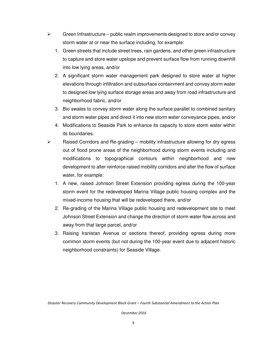- $\triangleright$  Green Infrastructure public realm improvements designed to store and/or convey storm water at or near the surface including, for example:
	- 1. Green streets that include street trees, rain gardens, and other green infrastructure to capture and store water upslope and prevent surface flow from running downhill into low lying areas, and/or
	- 2. A significant storm water management park designed to store water at higher elevations through infiltration and subsurface containment and convey storm water to designed low lying surface storage areas and away from road infrastructure and neighborhood fabric, and/or
	- 3. Bio swales to convey storm water along the surface parallel to combined sanitary and storm water pipes and direct it into new storm water conveyance pipes, and/or
	- 4. Modifications to Seaside Park to enhance its capacity to store storm water within its boundaries.
- $\triangleright$  Raised Corridors and Re-grading mobility infrastructure allowing for dry egress out of flood prone areas of the neighborhood during storm events including and modifications to topographical contours within neighborhood and new development to alter reinforce raised mobility corridors and alter the flow of surface water, for example:
	- 1. A new, raised Johnson Street Extension providing egress during the 100-year storm event for the redeveloped Marina Village public housing complex and the mixed-income housing that will be redeveloped there, and/or
	- 2. Re-grading of the Marina Village public housing and redevelopment site to meet Johnson Street Extension and change the direction of storm water flow across and away from that large parcel, and/or
	- 3. Raising Iranistan Avenue or sections thereof, providing egress during more common storm events (but not during the 100-year event due to adjacent historic neighborhood constraints) for Seaside Village.

Disaster Recovery Community Development Block Grant – Fourth Substantial Amendment to the Action Plan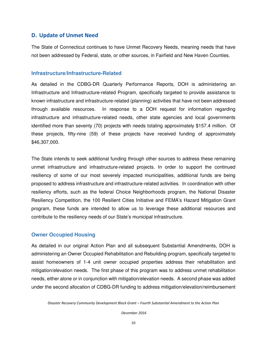#### D. Update of Unmet Need

The State of Connecticut continues to have Unmet Recovery Needs, meaning needs that have not been addressed by Federal, state, or other sources, in Fairfield and New Haven Counties.

#### **Infrastructure/Infrastructure-Related**

As detailed in the CDBG-DR Quarterly Performance Reports, DOH is administering an Infrastructure and Infrastructure-related Program, specifically targeted to provide assistance to known infrastructure and infrastructure-related (planning) activities that have not been addressed through available resources. In response to a DOH request for information regarding infrastructure and infrastructure-related needs, other state agencies and local governments identified more than seventy (70) projects with needs totaling approximately \$157.4 million. Of these projects, fifty-nine (59) of these projects have received funding of approximately \$46,307,000.

The State intends to seek additional funding through other sources to address these remaining unmet infrastructure and infrastructure-related projects. In order to support the continued resiliency of some of our most severely impacted municipalities, additional funds are being proposed to address infrastructure and infrastructure-related activities. In coordination with other resiliency efforts, such as the federal Choice Neighborhoods program, the National Disaster Resiliency Competition, the 100 Resilient Cities Initiative and FEMA's Hazard Mitigation Grant program, these funds are intended to allow us to leverage these additional resources and contribute to the resiliency needs of our State's municipal infrastructure.

#### **Owner Occupied Housing**

As detailed in our original Action Plan and all subsequent Substantial Amendments, DOH is administering an Owner Occupied Rehabilitation and Rebuilding program, specifically targeted to assist homeowners of 1-4 unit owner occupied properties address their rehabilitation and mitigation/elevation needs. The first phase of this program was to address unmet rehabilitation needs, either alone or in conjunction with mitigation/elevation needs. A second phase was added under the second allocation of CDBG-DR funding to address mitigation/elevation/reimbursement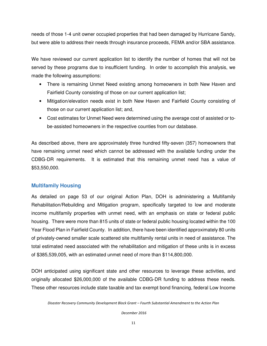needs of those 1-4 unit owner occupied properties that had been damaged by Hurricane Sandy, but were able to address their needs through insurance proceeds, FEMA and/or SBA assistance.

We have reviewed our current application list to identify the number of homes that will not be served by these programs due to insufficient funding. In order to accomplish this analysis, we made the following assumptions:

- There is remaining Unmet Need existing among homeowners in both New Haven and Fairfield County consisting of those on our current application list;
- Mitigation/elevation needs exist in both New Haven and Fairfield County consisting of those on our current application list; and,
- Cost estimates for Unmet Need were determined using the average cost of assisted or tobe-assisted homeowners in the respective counties from our database.

As described above, there are approximately three hundred fifty-seven (357) homeowners that have remaining unmet need which cannot be addressed with the available funding under the CDBG-DR requirements. It is estimated that this remaining unmet need has a value of \$53,550,000.

# **Multifamily Housing**

As detailed on page 53 of our original Action Plan, DOH is administering a Multifamily Rehabilitation/Rebuilding and Mitigation program, specifically targeted to low and moderate income multifamily properties with unmet need, with an emphasis on state or federal public housing. There were more than 815 units of state or federal public housing located within the 100 Year Flood Plan in Fairfield County. In addition, there have been identified approximately 80 units of privately-owned smaller scale scattered site multifamily rental units in need of assistance. The total estimated need associated with the rehabilitation and mitigation of these units is in excess of \$385,539,005, with an estimated unmet need of more than \$114,800,000.

DOH anticipated using significant state and other resources to leverage these activities, and originally allocated \$26,000,000 of the available CDBG-DR funding to address these needs. These other resources include state taxable and tax exempt bond financing, federal Low Income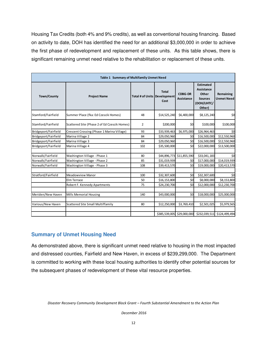Housing Tax Credits (both 4% and 9% credits), as well as conventional housing financing. Based on activity to date, DOH has identified the need for an additional \$3,000,000 in order to achieve the first phase of redevelopment and replacement of these units. As this table shows, there is significant remaining unmet need relative to the rehabilitation or replacement of these units.

| Table 1 Summary of Multifamily Unmet Need |                                              |                                     |                            |                              |                                                                                    |                                |  |
|-------------------------------------------|----------------------------------------------|-------------------------------------|----------------------------|------------------------------|------------------------------------------------------------------------------------|--------------------------------|--|
| <b>Town/County</b>                        | <b>Project Name</b>                          | <b>Total # of Units Development</b> | <b>Total</b><br>Cost       | <b>CDBG-DR</b><br>Assistance | <b>Estimated</b><br>Assistance<br>Other<br><b>Sources</b><br>(DOH/LIHTC/<br>Other) | Remaining<br><b>Unmet Need</b> |  |
| Stamford/Fairfield                        | Summer Place (fka: Ed Czescik Homes)         | 48                                  | \$14,525,240               | \$6,400,000                  | \$8,125,240                                                                        | \$0                            |  |
| Stamford/Fairfield                        | Scattered Site (Phase 2 of Ed Czescik Homes) | $\overline{2}$                      | \$200,000                  | \$0                          | \$100,000                                                                          | \$100,000                      |  |
| Bridgeport/Fairfield                      | Crescent Crossing (Phase 1 Marina Village)   | 93                                  | \$33,939,463               | \$6,975,000                  | \$26,964,463                                                                       | \$0                            |  |
| Bridgeport/Fairfield                      | Marina Village 2                             | 84                                  | \$29,050,960               | \$0                          | \$16,500,000                                                                       | \$12,550,960                   |  |
| Bridgeport/Fairfield                      | Marina Village 3                             | 84                                  | \$29,050,960               | \$0                          | \$16,500,000                                                                       | \$12,550,960                   |  |
| Bridgeport/Fairfield                      | Marina Village 4                             | 102                                 | \$35,500,000               | \$0                          | \$22,000,000                                                                       | \$13,500,000                   |  |
| Norwalk/Fairfield                         | Washington Village - Phase 1                 | 80                                  |                            | \$44,896,773 \$11,855,590    | \$33,041,183                                                                       | \$0                            |  |
| Norwalk/Fairfield                         | Washington Village - Phase 2                 | 85                                  | \$31,019,939               | \$0                          | \$17,000,000                                                                       | \$14,019,939                   |  |
| Norwalk/Fairfield                         | Washington Village - Phase 3                 | 108                                 | \$39,413,570               | \$0                          | \$19,000,000                                                                       | \$20,413,570                   |  |
| Stratford/Fairfield                       | <b>Meadowview Manor</b>                      | 100                                 | \$32,307,600               | \$0                          | \$32,307,600                                                                       | \$0                            |  |
|                                           | Elm Terrace                                  | 50                                  | \$16,153,800               | \$0                          | \$8,000,000                                                                        | \$8,153,800                    |  |
|                                           | Robert F. Kennedy Apartments                 | 75                                  | \$24,230,700               | \$0                          | \$12,000,000                                                                       | \$12,230,700                   |  |
| Meriden/New Haven                         | Mills Memorial Housing                       | 140                                 | \$43,000,000               | \$0                          | \$18,000,000                                                                       | \$25,000,000                   |  |
| Various/New Haven                         | <b>Scattered Site Small Multiffamily</b>     | 80                                  | \$12,250,000               | \$3,769,410                  | \$2,501,025                                                                        | \$5,979,565                    |  |
|                                           |                                              |                                     | \$385,539,005 \$29,000,000 |                              |                                                                                    | \$232,039,511 \$124,499,494    |  |

# **Summary of Unmet Housing Need**

As demonstrated above, there is significant unmet need relative to housing in the most impacted and distressed counties, Fairfield and New Haven, in excess of \$239,299,000. The Department is committed to working with these local housing authorities to identify other potential sources for the subsequent phases of redevelopment of these vital resource properties.

Disaster Recovery Community Development Block Grant – Fourth Substantial Amendment to the Action Plan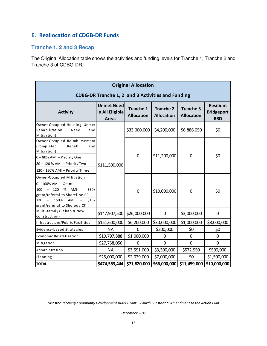# E. Reallocation of CDGB-DR Funds

# **Tranche 1, 2 and 3 Recap**

The Original Allocation table shows the activities and funding levels for Tranche 1, Tranche 2 and Tranche 3 of CDBG-DR.

| <b>Original Allocation</b>                                                                                                                                                               |                                                      |                                       |                                       |                                       |                                                     |  |
|------------------------------------------------------------------------------------------------------------------------------------------------------------------------------------------|------------------------------------------------------|---------------------------------------|---------------------------------------|---------------------------------------|-----------------------------------------------------|--|
| CDBG-DR Tranche 1, 2 and 3 Activities and Funding                                                                                                                                        |                                                      |                                       |                                       |                                       |                                                     |  |
| <b>Activity</b>                                                                                                                                                                          | <b>Unmet Need</b><br>in All Eligible<br><b>Areas</b> | <b>Tranche 1</b><br><b>Allocation</b> | <b>Tranche 2</b><br><b>Allocation</b> | <b>Tranche 3</b><br><b>Allocation</b> | <b>Resilient</b><br><b>Bridgeport</b><br><b>RBD</b> |  |
| Owner-Occupied Housing (Unmet<br>Rehabilitation<br>Need<br>and<br>Mitigation)                                                                                                            |                                                      | \$33,000,000                          | \$4,200,000                           | \$6,886,050                           | \$0                                                 |  |
| Owner-Occupied Reimbursement<br>(Completed<br>Rehab<br>and<br>Mitigation)<br>0-80% AMI - Priority One<br>80 - 120 % AMI - Priority Two<br>120 - 150% AMI - Priority Three                | \$111,500,000                                        | $\mathbf 0$                           | \$11,200,000                          | 0                                     | \$0                                                 |  |
| Owner-Occupied Mitigation<br>$0 - 100\%$ AMI - Grant<br>\$30k<br>100<br>120<br>%<br>AMI<br>grant/referral to Shoreline RF<br>120<br>150%<br>AMI<br>\$15k<br>grant/referral to Shoreup CT |                                                      | $\mathbf 0$                           | \$10,000,000                          | $\mathbf 0$                           | \$0                                                 |  |
| Multi-family (Rehab & New<br>Construction)                                                                                                                                               | \$147,907,500                                        | \$26,000,000                          | 0                                     | \$3,000,000                           | 0                                                   |  |
| Infrastructure/Public Facilities                                                                                                                                                         | \$151,600,000                                        | \$6,200,000                           | \$30,000,000                          | \$1,000,000                           | \$8,000,000                                         |  |
| Evidence-based Strategies                                                                                                                                                                | <b>NA</b>                                            | 0                                     | \$300,000                             | \$0                                   | \$0                                                 |  |
| Economic Revitalization                                                                                                                                                                  | \$10,797,888                                         | \$1,000,000                           | 0                                     | 0                                     | 0                                                   |  |
| Mitigation                                                                                                                                                                               | \$27,758,056                                         | 0                                     | $\overline{0}$                        | $\overline{0}$                        | $\overline{0}$                                      |  |
| Administration                                                                                                                                                                           | <b>NA</b>                                            | \$3,591,000                           | \$3,300,000                           | \$572,950                             | \$500,000                                           |  |
| Planning                                                                                                                                                                                 | \$25,000,000                                         | \$2,029,000                           | \$7,000,000                           | \$0                                   | \$1,500,000                                         |  |
| <b>TOTAL</b>                                                                                                                                                                             | \$474,563,444                                        | \$71,820,000                          | \$66,000,000                          | \$11,459,000                          | \$10,000,000                                        |  |

Disaster Recovery Community Development Block Grant – Fourth Substantial Amendment to the Action Plan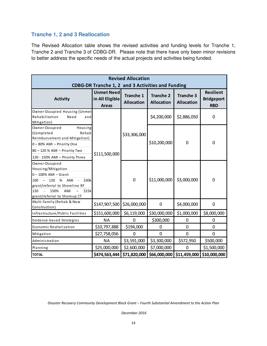# **Tranche 1, 2 and 3 Reallocation**

The Revised Allocation table shows the revised activities and funding levels for Tranche 1, Tranche 2 and Tranche 3 of CDBG-DR. Please note that there have only been minor revisions to better address the specific needs of the actual projects and activities being funded.

| <b>Revised Allocation</b><br>CDBG-DR Tranche 1, 2 and 3 Activities and Funding                                                                                                                                                                   |                                                      |                                |                                       |                                       |                                                     |  |
|--------------------------------------------------------------------------------------------------------------------------------------------------------------------------------------------------------------------------------------------------|------------------------------------------------------|--------------------------------|---------------------------------------|---------------------------------------|-----------------------------------------------------|--|
| <b>Activity</b>                                                                                                                                                                                                                                  | <b>Unmet Need</b><br>in All Eligible<br><b>Areas</b> | Tranche 1<br><b>Allocation</b> | <b>Tranche 2</b><br><b>Allocation</b> | <b>Tranche 3</b><br><b>Allocation</b> | <b>Resilient</b><br><b>Bridgeport</b><br><b>RBD</b> |  |
| Owner-Occupied Housing (Unmet<br>Rehabilitation<br>Need<br>and<br>Mitigation)                                                                                                                                                                    |                                                      |                                | \$4,200,000                           | \$2,886,050                           | 0                                                   |  |
| Owner-Occupied<br>Housing<br>(Completed<br>Rehab<br>Reimbursement and Mitigation)<br>0-80% AMI - Priority One<br>80 - 120 % AMI - Priority Two<br>120 - 150% AMI - Priority Three                                                                | \$111,500,000                                        | \$33,306,000                   | \$10,200,000                          | 0                                     | 0                                                   |  |
| Owner-Occupied<br>Housing/Mitigation<br>$0 - 100\%$ AMI - Grant<br>\$30k<br>100<br>120<br>%<br>AMI<br>$\overline{\phantom{0}}$<br>$\frac{1}{2}$<br>grant/referral to Shoreline RF<br>\$15k<br>120<br>150%<br>AMI<br>grant/referral to Shoreup CT |                                                      | $\mathbf 0$                    | \$11,000,000                          | \$3,000,000                           | $\mathbf 0$                                         |  |
| Multi-family (Rehab & New<br>Construction)                                                                                                                                                                                                       | \$147,907,500                                        | \$26,000,000                   | 0                                     | \$4,000,000                           | $\mathbf 0$                                         |  |
| Infrastructure/Public Facilities                                                                                                                                                                                                                 | \$151,600,000                                        | \$6,119,000                    | \$30,000,000                          | \$1,000,000                           | \$8,000,000                                         |  |
| Evidence-based Strategies                                                                                                                                                                                                                        | <b>NA</b>                                            | $\mathbf 0$                    | \$300,000                             | $\mathbf 0$                           | $\mathbf 0$                                         |  |
| Economic Revitalization                                                                                                                                                                                                                          | \$10,797,888                                         | \$194,000                      | 0                                     | $\Omega$                              | $\overline{0}$                                      |  |
| Mitigation                                                                                                                                                                                                                                       | \$27,758,056                                         | $\Omega$                       | 0                                     | $\mathbf 0$                           | $\mathbf 0$                                         |  |
| Administration                                                                                                                                                                                                                                   | <b>NA</b>                                            | \$3,591,000                    | \$3,300,000                           | \$572,950                             | \$500,000                                           |  |
| Planning                                                                                                                                                                                                                                         | \$25,000,000                                         | \$2,600,000                    | \$7,000,000                           | $\mathbf 0$                           | \$1,500,000                                         |  |
| <b>TOTAL</b>                                                                                                                                                                                                                                     | \$474,563,444                                        | \$71,820,000                   | \$66,000,000                          | \$11,459,000                          | \$10,000,000                                        |  |

Disaster Recovery Community Development Block Grant – Fourth Substantial Amendment to the Action Plan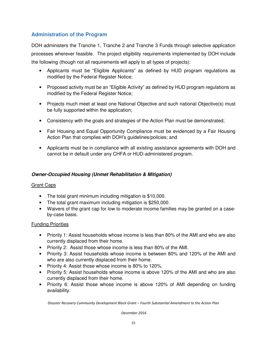# **Administration of the Program**

DOH administers the Tranche 1, Tranche 2 and Tranche 3 Funds through selective application processes wherever feasible. The project eligibility requirements implemented by DOH include the following (though not all requirements will apply to all types of projects):

- Applicants must be "Eligible Applicants" as defined by HUD program regulations as modified by the Federal Register Notice;
- Proposed activity must be an "Eligible Activity" as defined by HUD program regulations as modified by the Federal Register Notice;
- Projects much meet at least one National Objective and such national Objective(s) must be fully supported within the application;
- Consistency with the goals and strategies of the Action Plan must be demonstrated;
- Fair Housing and Equal Opportunity Compliance must be evidenced by a Fair Housing Action Plan that complies with DOH's guidelines/policies; and
- Applicants must be in compliance with all existing assistance agreements with DOH and cannot be in default under any CHFA or HUD-administered program.

# **Owner-Occupied Housing (Unmet Rehabilitation & Mitigation)**

#### Grant Caps

- The total grant minimum including mitigation is \$10,000.
- The total grant maximum including mitigation is \$250,000.
- Waivers of the grant cap for low to moderate income families may be granted on a caseby-case basis.

#### Funding Priorities

- Priority 1: Assist households whose income is less than 80% of the AMI and who are also currently displaced from their home.
- Priority 2: Assist those whose income is less than 80% of the AMI.
- Priority 3: Assist households whose income is between 80% and 120% of the AMI and who are also currently displaced from their home.
- Priority 4: Assist those whose income is 80% to 120%.
- Priority 5: Assist households whose income is above 120% of the AMI and who are also currently displaced from their home.
- Priority 6: Assist those whose income is above 120% of AMI depending on funding availability.

Disaster Recovery Community Development Block Grant – Fourth Substantial Amendment to the Action Plan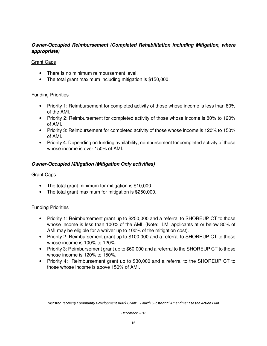# **Owner-Occupied Reimbursement (Completed Rehabilitation including Mitigation, where appropriate)**

#### Grant Caps

- There is no minimum reimbursement level.
- The total grant maximum including mitigation is \$150,000.

#### Funding Priorities

- Priority 1: Reimbursement for completed activity of those whose income is less than 80% of the AMI.
- Priority 2: Reimbursement for completed activity of those whose income is 80% to 120% of AMI.
- Priority 3: Reimbursement for completed activity of those whose income is 120% to 150% of AMI.
- Priority 4: Depending on funding availability, reimbursement for completed activity of those whose income is over 150% of AMI.

#### **Owner-Occupied Mitigation (Mitigation Only activities)**

#### Grant Caps

- The total grant minimum for mitigation is \$10,000.
- The total grant maximum for mitigation is \$250,000.

#### Funding Priorities

- Priority 1: Reimbursement grant up to \$250,000 and a referral to SHOREUP CT to those whose income is less than 100% of the AMI. (Note: LMI applicants at or below 80% of AMI may be eligible for a waiver up to 100% of the mitigation cost).
- Priority 2: Reimbursement grant up to \$100,000 and a referral to SHOREUP CT to those whose income is 100% to 120%.
- Priority 3: Reimbursement grant up to \$60,000 and a referral to the SHOREUP CT to those whose income is 120% to 150%.
- Priority 4: Reimbursement grant up to \$30,000 and a referral to the SHOREUP CT to those whose income is above 150% of AMI.

Disaster Recovery Community Development Block Grant – Fourth Substantial Amendment to the Action Plan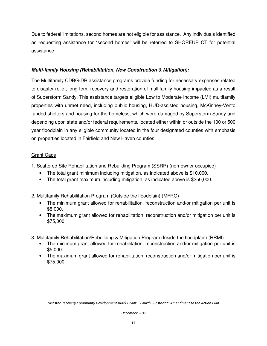Due to federal limitations, second homes are not eligible for assistance. Any individuals identified as requesting assistance for "second homes" will be referred to SHOREUP CT for potential assistance.

#### **Multi-family Housing (Rehabilitation, New Construction & Mitigation):**

The Multifamily CDBG-DR assistance programs provide funding for necessary expenses related to disaster relief, long-term recovery and restoration of multifamily housing impacted as a result of Superstorm Sandy. This assistance targets eligible Low to Moderate Income (LMI) multifamily properties with unmet need, including public housing, HUD-assisted housing, McKinney-Vento funded shelters and housing for the homeless, which were damaged by Superstorm Sandy and depending upon state and/or federal requirements, located either within or outside the 100 or 500 year floodplain in any eligible community located in the four designated counties with emphasis on properties located in Fairfield and New Haven counties.

#### Grant Caps

1. Scattered Site Rehabilitation and Rebuilding Program (SSRR) (non-owner occupied)

- The total grant minimum including mitigation, as indicated above is \$10,000.
- The total grant maximum including mitigation, as indicated above is \$250,000.

2. Multifamily Rehabilitation Program (Outside the floodplain) (MFRO)

- The minimum grant allowed for rehabilitation, reconstruction and/or mitigation per unit is \$5,000.
- The maximum grant allowed for rehabilitation, reconstruction and/or mitigation per unit is \$75,000.
- 3. Multifamily Rehabilitation/Rebuilding & Mitigation Program (Inside the floodplain) (RRMI)
	- The minimum grant allowed for rehabilitation, reconstruction and/or mitigation per unit is \$5,000.
	- The maximum grant allowed for rehabilitation, reconstruction and/or mitigation per unit is \$75,000.

Disaster Recovery Community Development Block Grant – Fourth Substantial Amendment to the Action Plan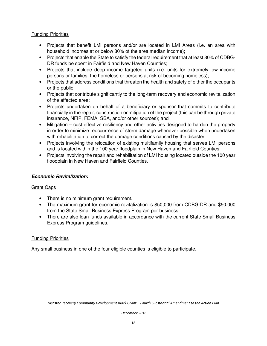#### Funding Priorities

- Projects that benefit LMI persons and/or are located in LMI Areas (i.e. an area with household incomes at or below 80% of the area median income);
- Projects that enable the State to satisfy the federal requirement that at least 80% of CDBG-DR funds be spent in Fairfield and New Haven Counties;
- Projects that include deep income targeted units (i.e. units for extremely low income persons or families, the homeless or persons at risk of becoming homeless);
- Projects that address conditions that threaten the health and safety of either the occupants or the public;
- Projects that contribute significantly to the long-term recovery and economic revitalization of the affected area;
- Projects undertaken on behalf of a beneficiary or sponsor that commits to contribute financially in the repair, construction or mitigation of the project (this can be through private insurance, NFIP, FEMA, SBA, and/or other sources); and
- Mitigation cost effective resiliency and other activities designed to harden the property in order to minimize reoccurrence of storm damage whenever possible when undertaken with rehabilitation to correct the damage conditions caused by the disaster.
- Projects involving the relocation of existing multifamily housing that serves LMI persons and is located within the 100 year floodplain in New Haven and Fairfield Counties.
- Projects involving the repair and rehabilitation of LMI housing located outside the 100 year floodplain in New Haven and Fairfield Counties.

# **Economic Revitalization:**

# **Grant Caps**

- There is no minimum grant requirement.
- The maximum grant for economic revitalization is \$50,000 from CDBG-DR and \$50,000 from the State Small Business Express Program per business.
- There are also loan funds available in accordance with the current State Small Business Express Program guidelines.

#### Funding Priorities

Any small business in one of the four eligible counties is eligible to participate.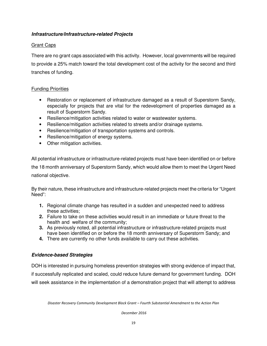#### **Infrastructure/Infrastructure-related Projects**

#### Grant Caps

There are no grant caps associated with this activity. However, local governments will be required to provide a 25% match toward the total development cost of the activity for the second and third tranches of funding.

#### Funding Priorities

- Restoration or replacement of infrastructure damaged as a result of Superstorm Sandy, especially for projects that are vital for the redevelopment of properties damaged as a result of Superstorm Sandy.
- Resilience/mitigation activities related to water or wastewater systems.
- Resilience/mitigation activities related to streets and/or drainage systems.
- Resilience/mitigation of transportation systems and controls.
- Resilience/mitigation of energy systems.
- Other mitigation activities.

All potential infrastructure or infrastructure-related projects must have been identified on or before the 18 month anniversary of Superstorm Sandy, which would allow them to meet the Urgent Need national objective.

By their nature, these infrastructure and infrastructure-related projects meet the criteria for "Urgent Need":

- **1.** Regional climate change has resulted in a sudden and unexpected need to address these activities;
- **2.** Failure to take on these activities would result in an immediate or future threat to the health and welfare of the community;
- **3.** As previously noted, all potential infrastructure or infrastructure-related projects must have been identified on or before the 18 month anniversary of Superstorm Sandy; and
- **4.** There are currently no other funds available to carry out these activities.

#### **Evidence-based Strategies**

DOH is interested in pursuing homeless prevention strategies with strong evidence of impact that, if successfully replicated and scaled, could reduce future demand for government funding. DOH will seek assistance in the implementation of a demonstration project that will attempt to address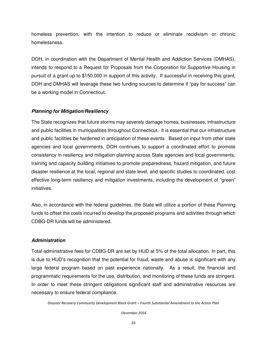homeless prevention, with the intention to reduce or eliminate recidivism or chronic homelessness.

DOH, in coordination with the Department of Mental Health and Addiction Services (DMHAS), intends to respond to a Request for Proposals from the Corporation for Supportive Housing in pursuit of a grant up to \$150,000 in support of this activity. If successful in receiving this grant, DOH and DMHAS will leverage these two funding sources to determine if "pay for success" can be a working model in Connecticut.

#### **Planning for Mitigation/Resiliency**

The State recognizes that future storms may severely damage homes, businesses, infrastructure and public facilities in municipalities throughout Connecticut. It is essential that our infrastructure and public facilities be hardened in anticipation of these events. Based on input from other state agencies and local governments, DOH continues to support a coordinated effort to promote consistency in resiliency and mitigation planning across State agencies and local governments, training and capacity building initiatives to promote preparedness, hazard mitigation, and future disaster resilience at the local, regional and state level, and specific studies to coordinated, cost effective long-term resiliency and mitigation investments, including the development of "green" initiatives.

Also, in accordance with the federal guidelines, the State will utilize a portion of these Planning funds to offset the costs incurred to develop the proposed programs and activities through which CDBG-DR funds will be administered.

#### **Administration**

Total administrative fees for CDBG-DR are set by HUD at 5% of the total allocation. In part, this is due to HUD's recognition that the potential for fraud, waste and abuse is significant with any large federal program based on past experience nationally. As a result, the financial and programmatic requirements for the use, distribution, and monitoring of these funds are stringent. In order to meet these stringent obligations significant staff and administrative resources are necessary to ensure federal compliance.

Disaster Recovery Community Development Block Grant – Fourth Substantial Amendment to the Action Plan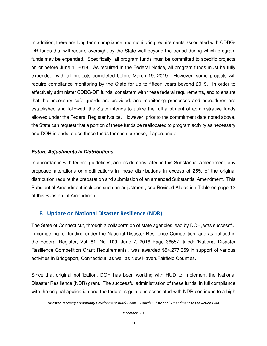In addition, there are long term compliance and monitoring requirements associated with CDBG-DR funds that will require oversight by the State well beyond the period during which program funds may be expended. Specifically, all program funds must be committed to specific projects on or before June 1, 2018. As required in the Federal Notice, all program funds must be fully expended, with all projects completed before March 19, 2019. However, some projects will require compliance monitoring by the State for up to fifteen years beyond 2019. In order to effectively administer CDBG-DR funds, consistent with these federal requirements, and to ensure that the necessary safe guards are provided, and monitoring processes and procedures are established and followed, the State intends to utilize the full allotment of administrative funds allowed under the Federal Register Notice. However, prior to the commitment date noted above, the State can request that a portion of these funds be reallocated to program activity as necessary and DOH intends to use these funds for such purpose, if appropriate.

#### **Future Adjustments in Distributions**

In accordance with federal guidelines, and as demonstrated in this Substantial Amendment, any proposed alterations or modifications in these distributions in excess of 25% of the original distribution require the preparation and submission of an amended Substantial Amendment. This Substantial Amendment includes such an adjustment; see Revised Allocation Table on page 12 of this Substantial Amendment.

# F. Update on National Disaster Resilience (NDR)

The State of Connecticut, through a collaboration of state agencies lead by DOH, was successful in competing for funding under the National Disaster Resilience Competition, and as noticed in the Federal Register, Vol. 81, No. 109; June 7, 2016 Page 36557, titled: "National Disaster Resilience Competition Grant Requirements", was awarded \$54,277,359 in support of various activities in Bridgeport, Connecticut, as well as New Haven/Fairfield Counties.

Since that original notification, DOH has been working with HUD to implement the National Disaster Resilience (NDR) grant. The successful administration of these funds, in full compliance with the original application and the federal regulations associated with NDR continues to a high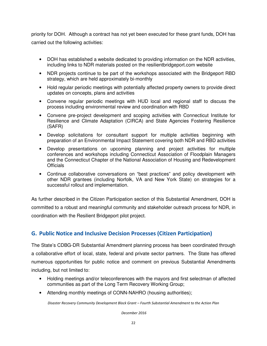priority for DOH. Although a contract has not yet been executed for these grant funds, DOH has carried out the following activities:

- DOH has established a website dedicated to providing information on the NDR activities, including links to NDR materials posted on the resilientbridgeport.com website
- NDR projects continue to be part of the workshops associated with the Bridgeport RBD strategy, which are held approximately bi-monthly
- Hold regular periodic meetings with potentially affected property owners to provide direct updates on concepts, plans and activities
- Convene regular periodic meetings with HUD local and regional staff to discuss the process including environmental review and coordination with RBD
- Convene pre-project development and scoping activities with Connecticut Institute for Resilience and Climate Adaptation (CIRCA) and State Agencies Fostering Resilience (SAFR)
- Develop solicitations for consultant support for multiple activities beginning with preparation of an Environmental Impact Statement covering both NDR and RBD activities
- Develop presentations on upcoming planning and project activities for multiple conferences and workshops including Connecticut Association of Floodplain Managers and the Connecticut Chapter of the National Association of Housing and Redevelopment **Officials**
- Continue collaborative conversations on "best practices" and policy development with other NDR grantees (including Norfolk, VA and New York State) on strategies for a successful rollout and implementation.

As further described in the Citizen Participation section of this Substantial Amendment, DOH is committed to a robust and meaningful community and stakeholder outreach process for NDR, in coordination with the Resilient Bridgeport pilot project.

# G. Public Notice and Inclusive Decision Processes (Citizen Participation)

The State's CDBG-DR Substantial Amendment planning process has been coordinated through a collaborative effort of local, state, federal and private sector partners. The State has offered numerous opportunities for public notice and comment on previous Substantial Amendments including, but not limited to:

- Holding meetings and/or teleconferences with the mayors and first selectman of affected communities as part of the Long Term Recovery Working Group;
- Attending monthly meetings of CONN-NAHRO (housing authorities);

Disaster Recovery Community Development Block Grant – Fourth Substantial Amendment to the Action Plan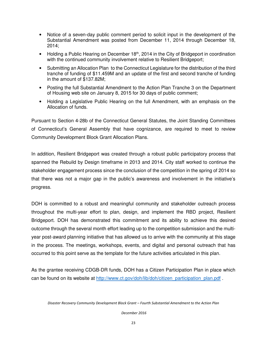- Notice of a seven-day public comment period to solicit input in the development of the Substantial Amendment was posted from December 11, 2014 through December 18, 2014;
- Holding a Public Hearing on December  $18<sup>th</sup>$ , 2014 in the City of Bridgeport in coordination with the continued community involvement relative to Resilient Bridgeport;
- Submitting an Allocation Plan to the Connecticut Legislature for the distribution of the third tranche of funding of \$11.459M and an update of the first and second tranche of funding in the amount of \$137.82M;
- Posting the full Substantial Amendment to the Action Plan Tranche 3 on the Department of Housing web site on January 8, 2015 for 30 days of public comment;
- Holding a Legislative Public Hearing on the full Amendment, with an emphasis on the Allocation of funds.

Pursuant to Section 4-28b of the Connecticut General Statutes, the Joint Standing Committees of Connecticut's General Assembly that have cognizance, are required to meet to review Community Development Block Grant Allocation Plans.

In addition, Resilient Bridgeport was created through a robust public participatory process that spanned the Rebuild by Design timeframe in 2013 and 2014. City staff worked to continue the stakeholder engagement process since the conclusion of the competition in the spring of 2014 so that there was not a major gap in the public's awareness and involvement in the initiative's progress.

DOH is committed to a robust and meaningful community and stakeholder outreach process throughout the multi-year effort to plan, design, and implement the RBD project, Resilient Bridgeport. DOH has demonstrated this commitment and its ability to achieve this desired outcome through the several month effort leading up to the competition submission and the multiyear post-award planning initiative that has allowed us to arrive with the community at this stage in the process. The meetings, workshops, events, and digital and personal outreach that has occurred to this point serve as the template for the future activities articulated in this plan.

As the grantee receiving CDGB-DR funds, DOH has a Citizen Participation Plan in place which can be found on its website at http://www.ct.gov/doh/lib/doh/citizen\_participation\_plan.pdf .

Disaster Recovery Community Development Block Grant – Fourth Substantial Amendment to the Action Plan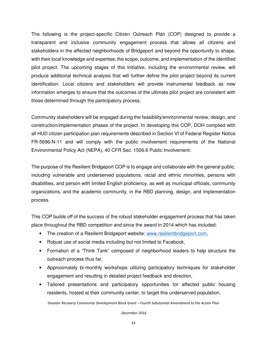The following is the project-specific Citizen Outreach Plan (COP) designed to provide a transparent and inclusive community engagement process that allows all citizens and stakeholders in the affected neighborhoods of Bridgeport and beyond the opportunity to shape, with their local knowledge and expertise, the scope, outcome, and implementation of the identified pilot project. The upcoming stages of this initiative, including the environmental review, will produce additional technical analysis that will further define the pilot project beyond its current identification. Local citizens and stakeholders will provide instrumental feedback as new information emerges to ensure that the outcomes of the ultimate pilot project are consistent with those determined through the participatory process.

Community stakeholders will be engaged during the feasibility/environmental review, design, and construction/implementation phases of the project. In developing this COP, DOH complied with all HUD citizen participation plan requirements described in Section VI of Federal Register Notice FR-5696-N-11 and will comply with the public involvement requirements of the National Environmental Policy Act (NEPA), 40 CFR Sec. 1506.6 Public Involvement.

The purpose of the Resilient Bridgeport COP is to engage and collaborate with the general public, including vulnerable and underserved populations, racial and ethnic minorities, persons with disabilities, and person with limited English proficiency, as well as municipal officials, community organizations, and the academic community, in the RBD planning, design, and implementation process.

This COP builds off of the success of the robust stakeholder engagement process that has taken place throughout the RBD competition and since the award in 2014 which has included:

- The creation of a Resilient Bridgeport website: www.resilientbridgeport.com,
- Robust use of social media including but not limited to Facebook,
- Formation of a "Think Tank" composed of neighborhood leaders to help structure the outreach process thus far,
- Approximately bi-monthly workshops utilizing participatory techniques for stakeholder engagement and resulting in detailed project feedback and direction,
- Tailored presentations and participatory opportunities for affected public housing residents, hosted at their community center, to target this underserved population,

Disaster Recovery Community Development Block Grant – Fourth Substantial Amendment to the Action Plan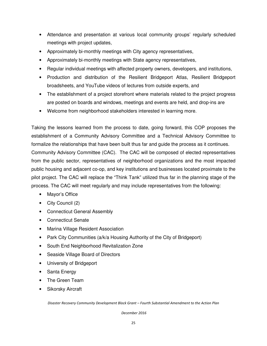- Attendance and presentation at various local community groups' regularly scheduled meetings with project updates,
- Approximately bi-monthly meetings with City agency representatives,
- Approximately bi-monthly meetings with State agency representatives,
- Regular individual meetings with affected property owners, developers, and institutions,
- Production and distribution of the Resilient Bridgeport Atlas, Resilient Bridgeport broadsheets, and YouTube videos of lectures from outside experts, and
- The establishment of a project storefront where materials related to the project progress are posted on boards and windows, meetings and events are held, and drop-ins are
- Welcome from neighborhood stakeholders interested in learning more.

Taking the lessons learned from the process to date, going forward, this COP proposes the establishment of a Community Advisory Committee and a Technical Advisory Committee to formalize the relationships that have been built thus far and guide the process as it continues. Community Advisory Committee (CAC). The CAC will be composed of elected representatives from the public sector, representatives of neighborhood organizations and the most impacted public housing and adjacent co-op, and key institutions and businesses located proximate to the pilot project. The CAC will replace the "Think Tank" utilized thus far in the planning stage of the process. The CAC will meet regularly and may include representatives from the following:

- Mayor's Office
- City Council (2)
- Connecticut General Assembly
- Connecticut Senate
- Marina Village Resident Association
- Park City Communities (a/k/a Housing Authority of the City of Bridgeport)
- South End Neighborhood Revitalization Zone
- Seaside Village Board of Directors
- University of Bridgeport
- Santa Energy
- The Green Team
- Sikorsky Aircraft

Disaster Recovery Community Development Block Grant – Fourth Substantial Amendment to the Action Plan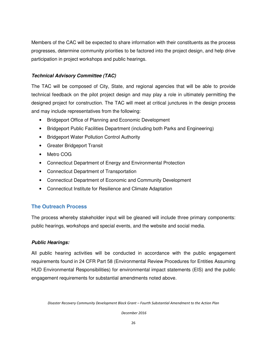Members of the CAC will be expected to share information with their constituents as the process progresses, determine community priorities to be factored into the project design, and help drive participation in project workshops and public hearings.

# **Technical Advisory Committee (TAC)**

The TAC will be composed of City, State, and regional agencies that will be able to provide technical feedback on the pilot project design and may play a role in ultimately permitting the designed project for construction. The TAC will meet at critical junctures in the design process and may include representatives from the following:

- Bridgeport Office of Planning and Economic Development
- Bridgeport Public Facilities Department (including both Parks and Engineering)
- Bridgeport Water Pollution Control Authority
- Greater Bridgeport Transit
- Metro COG
- Connecticut Department of Energy and Environmental Protection
- Connecticut Department of Transportation
- Connecticut Department of Economic and Community Development
- Connecticut Institute for Resilience and Climate Adaptation

# **The Outreach Process**

The process whereby stakeholder input will be gleaned will include three primary components: public hearings, workshops and special events, and the website and social media.

# **Public Hearings:**

All public hearing activities will be conducted in accordance with the public engagement requirements found in 24 CFR Part 58 (Environmental Review Procedures for Entities Assuming HUD Environmental Responsibilities) for environmental impact statements (EIS) and the public engagement requirements for substantial amendments noted above.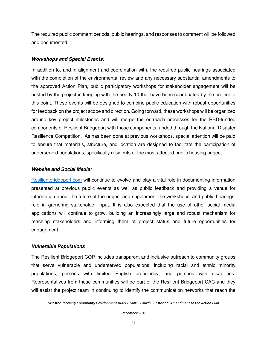The required public comment periods, public hearings, and responses to comment will be followed and documented.

#### **Workshops and Special Events:**

In addition to, and in alignment and coordination with, the required public hearings associated with the completion of the environmental review and any necessary substantial amendments to the approved Action Plan, public participatory workshops for stakeholder engagement will be hosted by the project in keeping with the nearly 10 that have been coordinated by the project to this point. These events will be designed to combine public education with robust opportunities for feedback on the project scope and direction. Going forward, these workshops will be organized around key project milestones and will merge the outreach processes for the RBD-funded components of Resilient Bridgeport with those components funded through the National Disaster Resilience Competition. As has been done at previous workshops, special attention will be paid to ensure that materials, structure, and location are designed to facilitate the participation of underserved populations, specifically residents of the most affected public housing project.

#### **Website and Social Media:**

Resilientbridgeport.com will continue to evolve and play a vital role in documenting information presented at previous public events as well as public feedback and providing a venue for information about the future of the project and supplement the workshops' and public hearings' role in garnering stakeholder input. It is also expected that the use of other social media applications will continue to grow, building an increasingly large and robust mechanism for reaching stakeholders and informing them of project status and future opportunities for engagement.

#### **Vulnerable Populations**

The Resilient Bridgeport COP includes transparent and inclusive outreach to community groups that serve vulnerable and underserved populations, including racial and ethnic minority populations, persons with limited English proficiency, and persons with disabilities. Representatives from these communities will be part of the Resilient Bridgeport CAC and they will assist the project team in continuing to identify the communication networks that reach the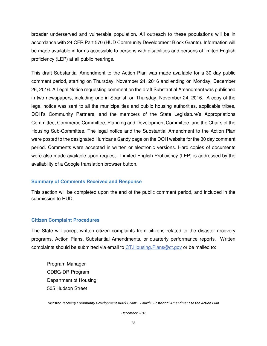broader underserved and vulnerable population. All outreach to these populations will be in accordance with 24 CFR Part 570 (HUD Community Development Block Grants). Information will be made available in forms accessible to persons with disabilities and persons of limited English proficiency (LEP) at all public hearings.

This draft Substantial Amendment to the Action Plan was made available for a 30 day public comment period, starting on Thursday, November 24, 2016 and ending on Monday, December 26, 2016. A Legal Notice requesting comment on the draft Substantial Amendment was published in two newspapers, including one in Spanish on Thursday, November 24, 2016. A copy of the legal notice was sent to all the municipalities and public housing authorities, applicable tribes, DOH's Community Partners, and the members of the State Legislature's Appropriations Committee, Commerce Committee, Planning and Development Committee, and the Chairs of the Housing Sub-Committee. The legal notice and the Substantial Amendment to the Action Plan were posted to the designated Hurricane Sandy page on the DOH website for the 30 day comment period. Comments were accepted in written or electronic versions. Hard copies of documents were also made available upon request. Limited English Proficiency (LEP) is addressed by the availability of a Google translation browser button.

#### **Summary of Comments Received and Response**

This section will be completed upon the end of the public comment period, and included in the submission to HUD.

#### **Citizen Complaint Procedures**

The State will accept written citizen complaints from citizens related to the disaster recovery programs, Action Plans, Substantial Amendments, or quarterly performance reports. Written complaints should be submitted via email to CT. Housing Plans@ct.gov or be mailed to:

Program Manager CDBG-DR Program Department of Housing 505 Hudson Street

Disaster Recovery Community Development Block Grant – Fourth Substantial Amendment to the Action Plan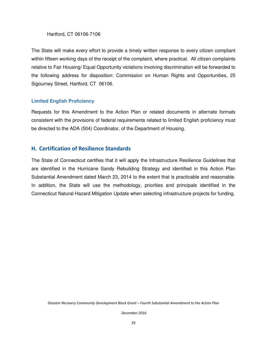#### Hartford, CT 06106-7106

The State will make every effort to provide a timely written response to every citizen compliant within fifteen working days of the receipt of the complaint, where practical. All citizen complaints relative to Fair Housing/ Equal Opportunity violations involving discrimination will be forwarded to the following address for disposition: Commission on Human Rights and Opportunities, 25 Sigourney Street, Hartford, CT 06106.

#### **Limited English Proficiency**

Requests for this Amendment to the Action Plan or related documents in alternate formats consistent with the provisions of federal requirements related to limited English proficiency must be directed to the ADA (504) Coordinator, of the Department of Housing.

#### H. Certification of Resilience Standards

The State of Connecticut certifies that it will apply the Infrastructure Resilience Guidelines that are identified in the Hurricane Sandy Rebuilding Strategy and identified in this Action Plan Substantial Amendment dated March 23, 2014 to the extent that is practicable and reasonable. In addition, the State will use the methodology, priorities and principals identified in the Connecticut Natural Hazard Mitigation Update when selecting infrastructure projects for funding.